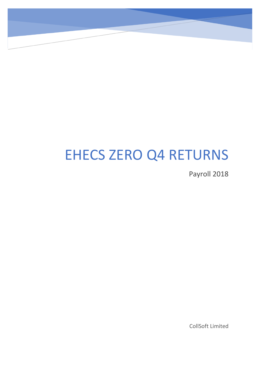# EHECS ZERO Q4 RETURNS

Payroll 2018

CollSoft Limited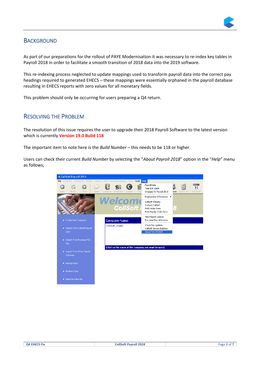

## **BACKGROUND**

As part of our preparations for the rollout of PAYE Modernisation it was necessary to re-index key tables in Payroll 2018 in order to facilitate a smooth transition of 2018 data into the 2019 software.

This re-indexing process neglected to update mappings used to transform payroll data into the correct pay headings required to generated EHECS – these mappings were essentially orphaned in the payroll database resulting in EHECS reports with zero values for all monetary fields.

This problem should only be occurring for users preparing a Q4 return.

### RESOLVING THE PROBLEM

The resolution of this issue requires the user to upgrade their 2018 Payroll Software to the latest version which is currently **Version 19.0 Build 118**

The important item to note here is the *Build Number* – this needs to be 118 or higher.

Users can check their current *Build Number* by selecting the "*About Payroll 2018*" option in the "*Help*" menu as follows;

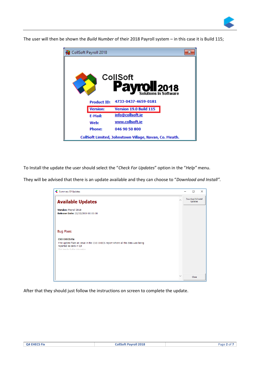

The user will then be shown the *Build Number* of their 2018 Payroll system – in this case it is Build 115;

| CollSoft Payroll 2018 |                                                        |  |
|-----------------------|--------------------------------------------------------|--|
|                       | CollSoft<br><b>ayroll 2018</b>                         |  |
| <b>Product ID:</b>    | 4733-0437-4659-0181                                    |  |
| <b>Version:</b>       | Version 19.0 Build 115                                 |  |
| <b>E-Mail:</b>        | info@collsoft.ie                                       |  |
| Web:                  | www.collsoft.ie                                        |  |
| <b>Phone:</b>         | 046 90 50 800                                          |  |
|                       | CollSoft Limited, Johnstown Village, Navan, Co. Meath. |  |

To Install the update the user should select the "*Check For Updates*" option in the "*Help"* menu.

They will be advised that there is an update available and they can choose to "*Download and Install".*

| <b>Summary Of Updates</b><br>«                                                                            |        | П                                    | $\times$ |
|-----------------------------------------------------------------------------------------------------------|--------|--------------------------------------|----------|
| <b>Available Updates</b>                                                                                  |        | Download & Install<br><b>Updates</b> |          |
| Version: Payroll 2018                                                                                     |        |                                      |          |
| Release Date: 22/02/2019 00:00:00                                                                         |        |                                      |          |
| <b>Bug Fixes</b>                                                                                          |        |                                      |          |
| <b>CSO EHECS Fix</b>                                                                                      |        |                                      |          |
| This update fixes an issue in the CSO EHECS report where all the data was being<br>reported as zero in Q4 |        |                                      |          |
| Click here for further information                                                                        |        |                                      |          |
|                                                                                                           |        |                                      |          |
|                                                                                                           |        |                                      |          |
|                                                                                                           |        |                                      |          |
|                                                                                                           | $\sim$ | Close                                |          |

After that they should just follow the instructions on screen to complete the update.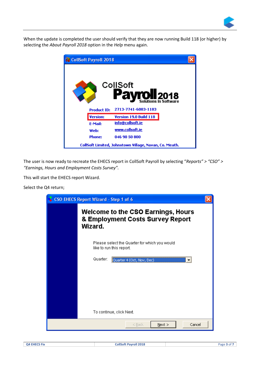

When the update is completed the user should verify that they are now running Build 118 (or higher) by selecting the *About Payroll 2018* option in the *Help* menu again.

| CollSoft Payroll 2018 |                                                        |  |
|-----------------------|--------------------------------------------------------|--|
|                       | CollSoft<br><b>COLL 2018</b><br>Solutions In Software  |  |
| <b>Product ID:</b>    | 2713-7741-6083-1183                                    |  |
| <b>Version:</b>       | Version 19.0 Build 118                                 |  |
| <b>E-Mail:</b>        | info@collsoft.ie                                       |  |
| Web:                  | www.collsoft.ie                                        |  |
| <b>Phone:</b>         | 046 90 50 800                                          |  |
|                       | CollSoft Limited, Johnstown Village, Navan, Co. Meath. |  |

The user is now ready to recreate the EHECS report in CollSoft Payroll by selecting "*Reports" > "CSO" > "Earnings, Hours and Employment Costs Survey".*

This will start the EHECS report Wizard.

Select the Q4 return;

| <b>CSO EHECS Report Wizard - Step 1 of 6</b>                                             |  |
|------------------------------------------------------------------------------------------|--|
| <b>Welcome to the CSO Earnings, Hours</b><br>& Employment Costs Survey Report<br>Wizard. |  |
| Please select the Quarter for which you would<br>like to run this report.                |  |
| Quarter:<br>Quarter 4 (Oct, Nov, Dec)                                                    |  |
|                                                                                          |  |
|                                                                                          |  |
| To continue, click Next.                                                                 |  |
| Next<br>Cancel<br>$<$ Back                                                               |  |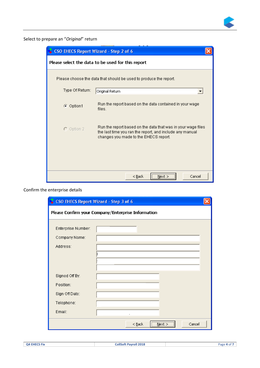

Select to prepare an "*Original*" return

| CSO EHECS Report Wizard - Step 2 of 6 |                                                                                                                                                                   |  |
|---------------------------------------|-------------------------------------------------------------------------------------------------------------------------------------------------------------------|--|
|                                       | Please select the data to be used for this report                                                                                                                 |  |
|                                       | Please choose the data that should be used to produce the report.                                                                                                 |  |
| Type Of Return:                       | Original Return                                                                                                                                                   |  |
| $\odot$ Option1                       | Run the report based on the data contained in your wage<br>files.                                                                                                 |  |
| $\bigcirc$ Option 2                   | Run the report based on the data that was in your wage files<br>the last time you ran the report, and include any manual<br>changes you made to the EHECS report. |  |
|                                       |                                                                                                                                                                   |  |
|                                       | <br>Cancel<br>$<$ Back<br>Next >                                                                                                                                  |  |

Confirm the enterprise details

| CSO EHECS Report Wizard - Step 3 of 6 |                                                    |  |
|---------------------------------------|----------------------------------------------------|--|
|                                       | Please Confirm your Company/Enterprise Information |  |
| Enterprise Number:                    |                                                    |  |
| Company Name:                         |                                                    |  |
| Address:                              |                                                    |  |
|                                       |                                                    |  |
|                                       |                                                    |  |
| Signed Off By:                        |                                                    |  |
| Position:                             |                                                    |  |
| Sign Off Date:                        |                                                    |  |
| Telephone:                            |                                                    |  |
| Email:                                |                                                    |  |
|                                       | <br>Cancel<br>$<$ Back<br>Next                     |  |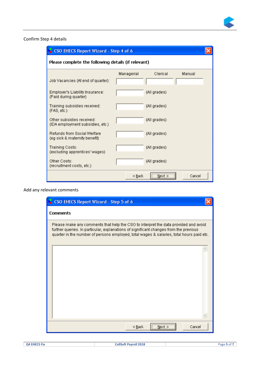

#### Confirm Step 4 details

| CSO EHECS Report Wizard - Step 4 of 6                               |            |              |        |  |
|---------------------------------------------------------------------|------------|--------------|--------|--|
| Please complete the following details (if relevant)                 |            |              |        |  |
|                                                                     | Managerial | Clerical     | Manual |  |
| Job Vacancies (At end of quarter):                                  |            |              |        |  |
| Employer's Liability Insurance:<br>(Paid during quarter)            |            | (All grades) |        |  |
| Training subsidies received:<br>(FAS, etc.)                         |            | (All grades) |        |  |
| Other subsidies received:<br>(IDA employment subsidies, etc.)       |            | (All grades) |        |  |
| <b>Refunds from Social Welfare</b><br>(eg sick & maternity benefit) |            | (All grades) |        |  |
| Training Costs:<br>(excluding apprentices' wages)                   |            | (All grades) |        |  |
| Other Costs:<br>(recruitment costs, etc.)                           |            | (All grades) |        |  |
|                                                                     | $<$ Back   | <br>Next >   | Cancel |  |

#### Add any relevant comments

| CSO EHECS Report Wizard - Step 5 of 6                                                                                                                                                                                                                                    |  |
|--------------------------------------------------------------------------------------------------------------------------------------------------------------------------------------------------------------------------------------------------------------------------|--|
| <b>Comments</b>                                                                                                                                                                                                                                                          |  |
| Please make any comments that help the CSO to interpret the data provided and avoid<br>further queries. In particular, explanations of significant changes from the previous<br>quarter in the number of persons employed, total wages & salaries, total hours paid etc. |  |
|                                                                                                                                                                                                                                                                          |  |
|                                                                                                                                                                                                                                                                          |  |
|                                                                                                                                                                                                                                                                          |  |
|                                                                                                                                                                                                                                                                          |  |
|                                                                                                                                                                                                                                                                          |  |
| ,,,,,,,,,,,,,,,,,,,,,,,,,,,,,,,<br>Cancel<br>$<$ Back<br>Next >                                                                                                                                                                                                          |  |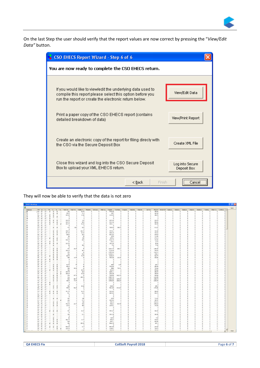

On the last Step the user should verify that the report values are now correct by pressing the "*View/Edit Data"* button.

| CSO EHECS Report Wizard - Step 6 of 6                                                                                                                                                                                                                                                                                                    |                                |  |
|------------------------------------------------------------------------------------------------------------------------------------------------------------------------------------------------------------------------------------------------------------------------------------------------------------------------------------------|--------------------------------|--|
| You are now ready to complete the CSO EHECS return.                                                                                                                                                                                                                                                                                      |                                |  |
| If you would like to view/edit the underlying data used to<br>compile this report please select this option before you<br>run the report or create the electronic return below.                                                                                                                                                          | View/Edit Data                 |  |
| Print a paper copy of the CSO EHECS report (contains<br>View/Print Report<br>detailed breakdown of data)<br>Create an electronic copy of the report for filing direcly with<br>the CSO via the Secure Deposit Box<br>Close this wizard and log into the CSO Secure Deposit<br>Box to upload your XML EHECS return.<br>$<$ Back<br>Finish |                                |  |
|                                                                                                                                                                                                                                                                                                                                          | Create XML File                |  |
|                                                                                                                                                                                                                                                                                                                                          | Log into Secure<br>Deposit Box |  |
|                                                                                                                                                                                                                                                                                                                                          | <br>Cance                      |  |

#### They will now be able to verify that the data is not zero

| PPS G  E                                                                   | $M_{\text{max}}$ $E_{\text{max}}$                             |                      |                            |                     | E H Paid Con Paid Ove Holiday H Maternit Sick Leav Other Le Regular  Overtime Irregular  Redunds Maternit |                       |                        |                |                      |                             | Sick Pay       |                      |               |                      |   |            |          | PRSI ER Pension ER Employe Employe Employe Employe Employe Training  Other Co Continua - |          |
|----------------------------------------------------------------------------|---------------------------------------------------------------|----------------------|----------------------------|---------------------|-----------------------------------------------------------------------------------------------------------|-----------------------|------------------------|----------------|----------------------|-----------------------------|----------------|----------------------|---------------|----------------------|---|------------|----------|------------------------------------------------------------------------------------------|----------|
| 89 M Fu<br>$\checkmark$<br>07 M Fu<br>п                                    | $\overline{\mathbf{v}}$<br>$\overline{\phantom{a}}$<br>×<br>□ | 462<br>252.5         | $^{\circ}$<br>$\Omega$     | 20.75<br>31.5       | $\theta$                                                                                                  | $^{\circ}$<br>$\circ$ | 4640.35<br>3187        |                | -O                   | $^{\circ}$<br>n<br>$\Omega$ | n<br>$\alpha$  | 458.31<br>362.69     | 0<br>$\Omega$ | $^{\circ}$<br>0      | n | $^{\circ}$ | $\Omega$ | $\Omega$                                                                                 | $\Omega$ |
| 92 M.J. Fu.J. M                                                            | ×<br>o<br>$\overline{\phantom{a}}$<br>□                       | 104.25               | $\Omega$                   | 14.25               | $\Omega$                                                                                                  | $\Omega$              | 1134.94                |                | $\Omega$             | $\Omega$                    | $\Omega$       | 106.76               | $\Omega$      | $\Omega$             |   | $\Omega$   |          |                                                                                          | $\Omega$ |
| 15 M Fu<br>$\overline{\mathbf{v}}$                                         | V<br>V<br>$\Box$                                              | $\Omega$             | $\Omega$                   | $\Omega$            | $\Omega$                                                                                                  | $\Omega$              | $\Omega$               |                | $^{\circ}$           | $\Omega$                    | $\Omega$       | $\theta$             |               | $\Omega$             |   |            |          |                                                                                          |          |
| 11 M Fu<br>v                                                               |                                                               |                      | $\theta$                   | $\ddot{\text{o}}$   |                                                                                                           |                       | $\Omega$               |                | n                    | £0                          | n              | n                    |               | $^{\circ}$           |   |            |          |                                                                                          |          |
| 19 M Fu<br>$\overline{\phantom{a}}$                                        | $\overline{\mathbf{v}}$<br>$\overline{\mathbf{v}}$<br>п       | 132.75               | $\theta$                   | 112                 | n                                                                                                         | $\Omega$              | 2337.36                |                | n                    | £0                          | $\Omega$       | 224.78               |               | £0                   |   |            |          |                                                                                          |          |
| 26 M Fu<br>$\overline{\phantom{a}}$                                        | ×<br>×                                                        | 410.75               | $\mathbf{0}$               | 98.5                |                                                                                                           | $\Omega$              | 4913.36                |                | $\Omega$             | o                           | $\Omega$       | 508.06               |               | £0                   |   |            |          |                                                                                          |          |
| 20 M Fu                                                                    | $\overline{\mathbf{v}}$<br>v                                  | 344.75               | $\Omega$                   | 99.25               |                                                                                                           | $\Omega$              | 4384.11                |                | $\Omega$             | n                           | $\Omega$       | 483.98               |               | n                    |   |            |          |                                                                                          | n        |
| 10 M Fu                                                                    |                                                               | n                    | $\sim$                     | -O                  |                                                                                                           | $\Omega$              | $\Omega$               |                | -O                   |                             |                | r                    |               | .n                   |   |            |          |                                                                                          | .O       |
| 23 M Fu                                                                    | v<br>v                                                        | 472                  | 18.5                       | 92.5                |                                                                                                           | $\circ$               | 7305.93                | 360.75         | $\Omega$             |                             | $\Omega$       | 812.27               |               | $\Omega$             |   |            |          |                                                                                          | n        |
| 81 M Fu                                                                    |                                                               | $\mathbb{R}$         | $\overline{0}$             | $\Omega$            |                                                                                                           | $\circ$               | $\Omega$               |                | $\Omega$             |                             | $\Omega$       | $\Omega$             |               | $\Omega$             |   |            |          |                                                                                          |          |
| 07 M Fu                                                                    | ×<br>V                                                        | 358.75               | $\overline{0}$             | 106.75              |                                                                                                           | $\Omega$              | 4449.51                |                | $\Omega$             | n                           | $\Omega$       | 432.88               |               | n                    |   |            |          |                                                                                          | n        |
| 07 M Fu                                                                    | ×<br>v                                                        | 357.25               | $\mathbf{0}$               | 83.25               |                                                                                                           | $\Omega$              | 4408.25                |                | $\Omega$             | n                           | $\Omega$       | 431.52               |               | $\circ$              |   |            |          |                                                                                          |          |
| 10 M Fu                                                                    | v<br>v                                                        | 505.5                | $\Omega$                   | 26.5                |                                                                                                           | $\Omega$              | 5651.02                |                | o                    | o                           | $\Omega$       | 634.53               |               | $\Omega$             |   |            |          |                                                                                          |          |
| 87 M Fu                                                                    | V<br>п                                                        | 80                   | $\theta$                   | 98                  | n                                                                                                         | $\Omega$              | 1078                   |                | $\Omega$             | £0<br>$\Omega$              | $\Omega$       | 116.96               |               | $\theta$             |   |            |          |                                                                                          |          |
| 15 M Fu<br>$\overline{\phantom{a}}$                                        | v<br>×                                                        | 472                  | $\circ$                    | 150                 | $\Omega$                                                                                                  | $\Omega$              | 6099.6                 |                | $\Omega$             | ٥                           | $^{\circ}$     | 670.11               |               | $\ddot{\phantom{0}}$ |   |            |          |                                                                                          |          |
| 09 M Fu                                                                    | v<br>$\checkmark$                                             | 500.25               | $\theta$                   | 68.5                | $\Omega$                                                                                                  | $^{\circ}$            | 6316.75                |                | $^{\circ}$           | n                           | $^{\circ}$     | 731.81               |               | $^{\circ}$           |   |            |          |                                                                                          |          |
| 12 M Fu<br>$\overline{\mathbf{v}}$                                         | v                                                             | 24                   | $\overline{0}$             | $\overline{0}$      | $\Omega$                                                                                                  | $\circ$               | 229.2                  |                | $\Omega$             |                             | $\overline{0}$ | 19.71                |               | $\overline{0}$       |   |            |          |                                                                                          |          |
| 90 M Pa                                                                    | v<br>v                                                        | 113.25               | $\overline{0}$             | $\ddot{\text{o}}$   | 0                                                                                                         | $^{\circ}$            | 1081.54                |                | $\ddot{\phantom{0}}$ |                             | $^{\circ}$     | 98.91                |               | $\ddot{\phantom{0}}$ |   |            |          |                                                                                          |          |
| 79 M Fu                                                                    | v                                                             | 40                   | $\circ$                    | 30.5                | $\Omega$                                                                                                  | $\theta$              | 710                    |                | $\ddot{\phantom{0}}$ |                             | $\theta$       | 77.04                |               | $\ddot{\phantom{0}}$ |   |            |          |                                                                                          |          |
| 94 M Fu                                                                    |                                                               | $\Omega$             | $\Omega$                   | $\Omega$            | $\alpha$                                                                                                  | $\circ$               | $\sqrt{2}$             |                | $\Omega$             |                             | $\alpha$       | $\epsilon$           |               | $\Omega$             |   |            |          |                                                                                          |          |
| 77 C Fu                                                                    | $\overline{\mathbf{v}}$<br>$\overline{\phantom{a}}$<br>п      | 472                  | 20.25                      | 40                  | $\Omega$                                                                                                  | $\theta$              | 10181.76               | 600.12         | $\Omega$             |                             | $\overline{a}$ | 1186.52              |               | $\Omega$             |   |            |          |                                                                                          |          |
| 85 M Fu                                                                    | ×<br>v                                                        | 389.25               | $\overline{0}$             | 96.5                | $\theta$                                                                                                  | $\circ$               | 5136.99                |                | $\Omega$             |                             | $\theta$       | 549.83               |               | $\Omega$             |   |            |          |                                                                                          |          |
| 75 M Fu                                                                    | v<br>v                                                        | 453                  | $\mathbf{0}$               | 46                  | n                                                                                                         | $^{\circ}$            | 12053.04               |                | n.                   |                             | $\mathbf{r}$   | 1169.12              |               | $\Omega$             |   |            |          |                                                                                          |          |
| 75 M Fu                                                                    | v<br>V                                                        | 496                  | $\mathbf{0}$               | 53.5                | $\Omega$                                                                                                  | $\circ$               | 12078.31               |                | $\Omega$             |                             | $\Omega$       | 1352.2               |               | $\Omega$             |   |            |          |                                                                                          |          |
| 88 Cl Fu<br>v                                                              | ×<br>v                                                        | 463.5                | $\overline{0}$             | 72.75               | $\alpha$                                                                                                  | $\theta$              | 5188.63                |                | $\Omega$             |                             | $\Omega$       | 560.73               |               | $\theta$             |   |            |          |                                                                                          |          |
| 75 C Fu                                                                    | V<br>v                                                        | 480                  | 10.75                      | $\overline{\infty}$ | o.                                                                                                        | $\theta$              | 7383.04                | 232.52         | $\Omega$             |                             | $\Omega$       | 838.81               |               | $\Omega$             |   |            |          |                                                                                          |          |
| 88 M Pa<br>$\overline{\mathbf{v}}$                                         | v<br>V                                                        |                      | $\mathbf{0}$               | $\theta$            |                                                                                                           | $\Omega$              | $\Omega$               |                | $\Omega$             |                             |                | $\Omega$             |               | $\theta$             |   |            |          |                                                                                          |          |
| 88 M Pa                                                                    | □<br>□                                                        |                      | $\overline{0}$             | $\theta$            |                                                                                                           | $\circ$               | $\overline{p}$         |                | $\Omega$             |                             | $\Omega$       | $\overline{a}$       |               | $\theta$             |   |            |          |                                                                                          |          |
| 16 M., Fu.,                                                                |                                                               |                      | $\overline{0}$             | $\overline{0}$      |                                                                                                           | $\overline{0}$        | $\overline{a}$         | $\Omega$       | $\overline{0}$       |                             | $\overline{a}$ | $\overline{a}$       |               | $\overline{0}$       |   |            |          |                                                                                          |          |
| 10 M Fu                                                                    | v<br>v                                                        | 417.5                | 79                         | 76                  | n                                                                                                         | $\mathbf{r}$          | 4935                   | 1185           | $\Omega$             | Ω                           | $\Omega$       | 672.7                |               | $\Omega$             |   |            |          |                                                                                          |          |
| 79 M Fu                                                                    | v<br>v                                                        | 452.5                | $\mathbf{0}$               | 45                  | $\Omega$                                                                                                  | $\theta$              | 7709.55                | $\Omega$       | $\Omega$             | n                           | $\theta$       | 858.55               |               | $\theta$             |   |            |          |                                                                                          |          |
| 72 M Fu                                                                    | v<br>v                                                        | 488                  | 44.25                      | 24                  |                                                                                                           | $\circ$               | 5888                   | 763.31         | $\Omega$             |                             | $\alpha$       | 731.66               |               | $\theta$             |   |            |          |                                                                                          |          |
| 11 M Fu                                                                    | $\overline{\mathbf{v}}$<br>V<br>п                             | 466                  | $\overline{a}$             | 36.75               | n                                                                                                         | $\overline{a}$        | 5310.9                 | -B             | $\Omega$             |                             | $\overline{a}$ | 594.82               |               | $\overline{a}$       |   |            |          |                                                                                          |          |
| 20 M Fu                                                                    | V<br>$\overline{\mathbf{v}}$                                  | 199.75               | $\overline{0}$             | 32.5                |                                                                                                           | $\Omega$              | 2265.11                |                | n                    |                             | $\Omega$       | 256.54               |               | $\Omega$             |   |            |          |                                                                                          |          |
| 20 M Fu                                                                    | v<br>$\overline{\mathbf{v}}$                                  | 198.25               | $\mathbf{0}$               | 36.25               |                                                                                                           | $\sim$                | 2292.04                | $\sim$         | n                    |                             | $\mathbf{r}$   | 259.83               |               | $\Omega$             |   |            |          |                                                                                          |          |
| 31 M Fu                                                                    | V<br>$\overline{\mathbf{v}}$                                  | 476                  | 67.75                      | 37                  |                                                                                                           | $\Omega$              | 7208.55                | 1422.75        | $\Omega$             |                             | $\alpha$       | 948.66               |               | $\Omega$             |   |            |          |                                                                                          |          |
| 68 M Fu                                                                    | v<br>$\overline{\mathbf{v}}$                                  | 416                  | $\Omega$                   | 245.75              |                                                                                                           | $\Omega$              | 10387.75               | $\Omega$       | n                    |                             | $\sim$         | 1231.95              |               | D.                   |   |            |          |                                                                                          |          |
| 77 M Fu                                                                    | v<br>V                                                        | 500                  | 88.75                      | 12                  |                                                                                                           | $\Omega$              | 12429.28               | 3245.94        | n.                   |                             | $\Omega$       | 1688.78              |               | $\Omega$<br>$\theta$ |   |            |          |                                                                                          |          |
| 72 Cl Fu                                                                   | v<br>V                                                        | 486.5                | 74.75                      | 16<br>$\Omega$      |                                                                                                           | $\circ$               | 18958.85               | 2830.04        |                      |                             | $\alpha$       | 2380.99              |               | $\Omega$             |   |            |          |                                                                                          |          |
| 44 M Pa<br>$\overline{\phantom{a}}$                                        | п<br>п                                                        | $\Omega$<br>$\Omega$ | $\Omega$<br>$\overline{a}$ | n                   |                                                                                                           | $\Omega$<br>$\circ$   | $\Omega$<br>$\Omega$   |                | n<br>$\sim$          |                             | $\Omega$       | $\Omega$<br>$\theta$ |               | n                    |   |            |          |                                                                                          |          |
| 93 M Pa                                                                    | v                                                             | 456                  | $\Omega$                   |                     |                                                                                                           | $\Omega$              |                        | $\overline{0}$ | n.                   | o                           | $\sim$         | 698.9                |               | O                    |   |            |          |                                                                                          |          |
| 76 M Fu<br>80 M Fu                                                         | V                                                             | 490.5                | 50.25                      | 69.25<br>12         |                                                                                                           | $\Omega$              | 6420.5<br>9421.88      | 1413.03        | $\alpha$             |                             | $\overline{a}$ | 1191.86              |               | $\Omega$             |   |            |          |                                                                                          |          |
| 07 M Fu                                                                    | $\overline{\mathbf{v}}$<br>v                                  | $\sqrt{2}$           | $\overline{0}$             | $\Omega$            |                                                                                                           |                       | $\sqrt{2}$             |                |                      |                             |                | $\theta$             |               | $\Omega$             |   |            |          |                                                                                          |          |
|                                                                            | $\overline{\mathbf{v}}$                                       |                      | $\Omega$                   |                     |                                                                                                           | $\Omega$              |                        |                |                      |                             | ø              |                      |               | $\theta$             |   |            |          |                                                                                          |          |
| 13 M Fu<br>$\overline{\phantom{a}}$<br>11 M Fu<br>$\overline{\phantom{a}}$ | $\checkmark$<br>п<br>v<br>V                                   | 451.75<br>501        | $\theta$                   | 46.75<br>63.5       |                                                                                                           | $\Omega$              | 4822.66<br>5483.05     |                | n                    |                             | $\Omega$       | 508.09<br>594.75     |               | n                    |   |            |          |                                                                                          |          |
| 18 M Fu                                                                    | п<br>п                                                        | $\Omega$             | $\Omega$                   | $\ddot{\text{o}}$   |                                                                                                           |                       | $\Omega$               |                |                      | o                           |                |                      |               | $\ddot{\text{o}}$    |   |            |          |                                                                                          |          |
| 18 M Fu                                                                    | Ο                                                             |                      | $\overline{0}$             | $\Omega$            |                                                                                                           |                       |                        |                |                      |                             |                |                      |               | $\theta$             |   |            |          |                                                                                          |          |
| 51 M Fu                                                                    | ×<br>v<br>o                                                   | 464                  | $\theta$                   | 165                 |                                                                                                           | $\mathbf{0}$          | 6524                   |                |                      |                             | n              | 716.52               |               | Ò                    |   |            |          |                                                                                          |          |
| 81 M Fu                                                                    | $\overline{\mathbf{v}}$                                       | 205                  | $\Omega$                   | 17.5                |                                                                                                           | $\Omega$              | 3425.05                |                |                      |                             |                | 384.97               |               | $\theta$             |   |            |          |                                                                                          |          |
| 80 M Fu                                                                    | v<br>v<br>о                                                   | 472                  | $\theta$                   | 109                 |                                                                                                           |                       | 9492.4                 |                |                      |                             | $\Omega$       | 1024.22              |               | 0                    |   |            |          |                                                                                          |          |
| 70 M Fu                                                                    | V                                                             | 476.75               | 22.75                      | 43.5                |                                                                                                           | $\Omega$              | 9426.2                 | 567.84         | $\Omega$             | n                           | $\overline{a}$ | 1098.69              |               | $\Omega$             |   |            |          |                                                                                          |          |
| 69 C  Pa                                                                   | $\overline{\phantom{a}}$<br>$\Box$<br>×<br>v                  | 137.5                | $\overline{0}$             | 40.5                |                                                                                                           | $\theta$              | 1699.91                |                | $\Omega$             |                             |                | 148.48               |               | 0                    |   |            |          |                                                                                          |          |
| 83 M Fu                                                                    |                                                               |                      | $\theta$                   | $\ddot{\text{o}}$   |                                                                                                           | $\Omega$              | $\mathbf{r}$           |                | n                    |                             |                | f.                   |               | ٥                    |   |            |          |                                                                                          | n        |
| 16 M Fu                                                                    |                                                               | $\Omega$             | $\overline{0}$             | $\Omega$            |                                                                                                           |                       | $\Omega$               |                |                      |                             |                | c                    |               | 0                    |   |            |          |                                                                                          |          |
| 94 M.J. A.J.<br>$\overline{\mathbf{v}}$                                    | $\overline{\mathbf{v}}$<br>×<br>п                             | 402                  | $\theta$                   | 61.25               |                                                                                                           | $\Omega$              | 4443.25                |                | $\Omega$             | n                           | $\Omega$       | 460.68               |               | £0                   |   |            |          |                                                                                          | O        |
| 80 M Fu                                                                    |                                                               | $\Omega$             | $\Omega$                   | $\Omega$            |                                                                                                           | $\theta$              | $\Omega$               |                | $\Omega$             |                             | ø              | $\Omega$             |               | 0                    |   |            |          |                                                                                          | 0        |
| 84 M Fu                                                                    | v                                                             | 156                  | $\sqrt{2}$                 | 11.5                |                                                                                                           | $\Omega$              | 1891.38                |                | n                    |                             | $\Omega$       | 183.95               |               | £0                   |   |            |          |                                                                                          | n        |
| 11 M Fu                                                                    | $\Box$                                                        | $\Omega$             | $\Omega$                   | $\Omega$            |                                                                                                           | $\Omega$              | $\Omega$               |                | n                    |                             |                | $\Omega$             |               | n                    |   |            |          |                                                                                          | n        |
| 81 C  Fu                                                                   | ×                                                             | 40 <sub>1</sub>      | $\overline{0}$             | Λ                   |                                                                                                           | $\Omega$              | 86.52                  |                | $\Omega$             |                             | $\circ$        | 7.44                 |               | $\circ$              |   |            |          |                                                                                          |          |
| 88 M Fu                                                                    | ×<br>v                                                        | 486.75               | $\theta$                   | 15.75               |                                                                                                           | $\Omega$              | 5056.5                 |                | n                    |                             | $\mathbf{a}$   | 534.61               |               | n                    |   |            |          |                                                                                          |          |
| 84 C  Fu                                                                   | v                                                             | 520                  | $\Omega$                   | -B                  |                                                                                                           | $\Omega$              | 8497.1                 |                |                      |                             |                | 868.01               |               | O                    |   |            |          |                                                                                          |          |
| $\overline{\mathbf{v}}$                                                    | ×<br>$\overline{\phantom{a}}$                                 | 456                  | $\Omega$                   |                     |                                                                                                           | $\Omega$              |                        |                |                      |                             |                |                      |               | c                    |   |            |          |                                                                                          |          |
| 42 M Fu                                                                    | v                                                             | $\Omega$             | $\Omega$                   | 150.25<br>$\Omega$  |                                                                                                           |                       | 5926.35<br>$\Omega$    |                |                      |                             |                | 651.3<br>$\Omega$    |               |                      |   |            |          |                                                                                          |          |
| 88 M Fu<br>16 M Fu V                                                       | □<br>$\overline{\mathbf{v}}$<br>$\overline{\phantom{a}}$      | 500.25               | $\circ$                    | 71.5                | n                                                                                                         | $\theta$<br>$\Omega$  | 5563.89                |                | $\ddot{\phantom{0}}$ | m                           | $\Omega$       | 625.65               |               | 0<br>$^{\circ}$      |   |            |          |                                                                                          | n        |
|                                                                            | $\overline{\mathbf{v}}$                                       |                      | n                          | <b>S</b>            |                                                                                                           | $\Omega$              |                        |                | $\Omega$             | .n                          | $\Omega$       |                      |               | n                    |   |            |          |                                                                                          | -O       |
| 20 M Fu<br>$\ddot{\phantom{a}}$                                            | $\overline{\phantom{a}}$<br>α                                 | 119.75               |                            |                     |                                                                                                           |                       | 1198.61<br><b>CONT</b> |                |                      |                             |                | 134.72<br>LOP PT     |               |                      |   |            |          |                                                                                          |          |